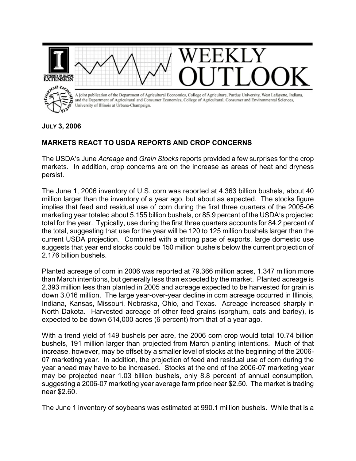

**JULY 3, 2006** 

## **MARKETS REACT TO USDA REPORTS AND CROP CONCERNS**

The USDA's June *Acreage* and *Grain Stocks* reports provided a few surprises for the crop markets. In addition, crop concerns are on the increase as areas of heat and dryness persist.

The June 1, 2006 inventory of U.S. corn was reported at 4.363 billion bushels, about 40 million larger than the inventory of a year ago, but about as expected. The stocks figure implies that feed and residual use of corn during the first three quarters of the 2005-06 marketing year totaled about 5.155 billion bushels, or 85.9 percent of the USDA's projected total for the year. Typically, use during the first three quarters accounts for 84.2 percent of the total, suggesting that use for the year will be 120 to 125 million bushels larger than the current USDA projection. Combined with a strong pace of exports, large domestic use suggests that year end stocks could be 150 million bushels below the current projection of 2.176 billion bushels.

Planted acreage of corn in 2006 was reported at 79.366 million acres, 1.347 million more than March intentions, but generally less than expected by the market. Planted acreage is 2.393 million less than planted in 2005 and acreage expected to be harvested for grain is down 3.016 million. The large year-over-year decline in corn acreage occurred in Illinois, Indiana, Kansas, Missouri, Nebraska, Ohio, and Texas. Acreage increased sharply in North Dakota. Harvested acreage of other feed grains (sorghum, oats and barley), is expected to be down 614,000 acres (6 percent) from that of a year ago.

With a trend yield of 149 bushels per acre, the 2006 corn crop would total 10.74 billion bushels, 191 million larger than projected from March planting intentions. Much of that increase, however, may be offset by a smaller level of stocks at the beginning of the 2006- 07 marketing year. In addition, the projection of feed and residual use of corn during the year ahead may have to be increased. Stocks at the end of the 2006-07 marketing year may be projected near 1.03 billion bushels, only 8.8 percent of annual consumption, suggesting a 2006-07 marketing year average farm price near \$2.50. The market is trading near \$2.60.

The June 1 inventory of soybeans was estimated at 990.1 million bushels. While that is a